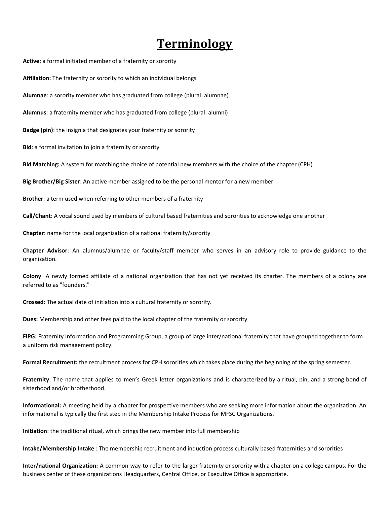## **Terminology**

**Active**: a formal initiated member of a fraternity or sorority

**Affiliation:** The fraternity or sorority to which an individual belongs

**Alumnae**: a sorority member who has graduated from college (plural: alumnae)

**Alumnus**: a fraternity member who has graduated from college (plural: alumni)

**Badge (pin)**: the insignia that designates your fraternity or sorority

**Bid**: a formal invitation to join a fraternity or sorority

**Bid Matching:** A system for matching the choice of potential new members with the choice of the chapter (CPH)

**Big Brother/Big Sister**: An active member assigned to be the personal mentor for a new member.

**Brother**: a term used when referring to other members of a fraternity

**Call/Chant**: A vocal sound used by members of cultural based fraternities and sororities to acknowledge one another

**Chapter**: name for the local organization of a national fraternity/sorority

**Chapter Advisor**: An alumnus/alumnae or faculty/staff member who serves in an advisory role to provide guidance to the organization.

**Colony**: A newly formed affiliate of a national organization that has not yet received its charter. The members of a colony are referred to as "founders."

**Crossed**: The actual date of initiation into a cultural fraternity or sorority.

**Dues:** Membership and other fees paid to the local chapter of the fraternity or sorority

**FIPG:** Fraternity Information and Programming Group, a group of large inter/national fraternity that have grouped together to form a uniform risk management policy.

**Formal Recruitment:** the recruitment process for CPH sororities which takes place during the beginning of the spring semester.

**Fraternity**: The name that applies to men's Greek letter organizations and is characterized by a ritual, pin, and a strong bond of sisterhood and/or brotherhood.

**Informational:** A meeting held by a chapter for prospective members who are seeking more information about the organization. An informational is typically the first step in the Membership Intake Process for MFSC Organizations.

**Initiation**: the traditional ritual, which brings the new member into full membership

**Intake/Membership Intake** : The membership recruitment and induction process culturally based fraternities and sororities

**Inter/national Organization:** A common way to refer to the larger fraternity or sorority with a chapter on a college campus. For the business center of these organizations Headquarters, Central Office, or Executive Office is appropriate.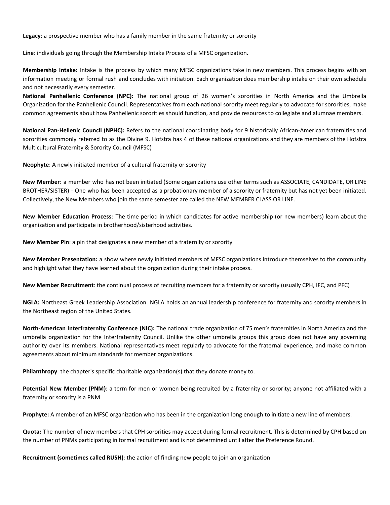**Legacy**: a prospective member who has a family member in the same fraternity or sorority

**Line**: individuals going through the Membership Intake Process of a MFSC organization.

**Membership Intake:** Intake is the process by which many MFSC organizations take in new members. This process begins with an information meeting or formal rush and concludes with initiation. Each organization does membership intake on their own schedule and not necessarily every semester.

**National Panhellenic Conference (NPC):** The national group of 26 women's sororities in North America and the Umbrella Organization for the Panhellenic Council. Representatives from each national sorority meet regularly to advocate for sororities, make common agreements about how Panhellenic sororities should function, and provide resources to collegiate and alumnae members.

**National Pan-Hellenic Council (NPHC):** Refers to the national coordinating body for 9 historically African-American fraternities and sororities commonly referred to as the Divine 9. Hofstra has 4 of these national organizations and they are members of the Hofstra Multicultural Fraternity & Sorority Council (MFSC)

**Neophyte**: A newly initiated member of a cultural fraternity or sorority

**New Member**: a member who has not been initiated (Some organizations use other terms such as ASSOCIATE, CANDIDATE, OR LINE BROTHER/SISTER) - One who has been accepted as a probationary member of a sorority or fraternity but has not yet been initiated. Collectively, the New Members who join the same semester are called the NEW MEMBER CLASS OR LINE.

**New Member Education Process**: The time period in which candidates for active membership (or new members) learn about the organization and participate in brotherhood/sisterhood activities.

**New Member Pin**: a pin that designates a new member of a fraternity or sorority

**New Member Presentation:** a show where newly initiated members of MFSC organizations introduce themselves to the community and highlight what they have learned about the organization during their intake process.

**New Member Recruitment**: the continual process of recruiting members for a fraternity or sorority (usually CPH, IFC, and PFC)

**NGLA:** Northeast Greek Leadership Association. NGLA holds an annual leadership conference for fraternity and sorority members in the Northeast region of the United States.

**North-American Interfraternity Conference (NIC):** The national trade organization of 75 men's fraternities in North America and the umbrella organization for the Interfraternity Council. Unlike the other umbrella groups this group does not have any governing authority over its members. National representatives meet regularly to advocate for the fraternal experience, and make common agreements about minimum standards for member organizations.

**Philanthropy**: the chapter's specific charitable organization(s) that they donate money to.

**Potential New Member (PNM)**: a term for men or women being recruited by a fraternity or sorority; anyone not affiliated with a fraternity or sorority is a PNM

**Prophyte:** A member of an MFSC organization who has been in the organization long enough to initiate a new line of members.

**Quota:** The number of new members that CPH sororities may accept during formal recruitment. This is determined by CPH based on the number of PNMs participating in formal recruitment and is not determined until after the Preference Round.

**Recruitment (sometimes called RUSH)**: the action of finding new people to join an organization